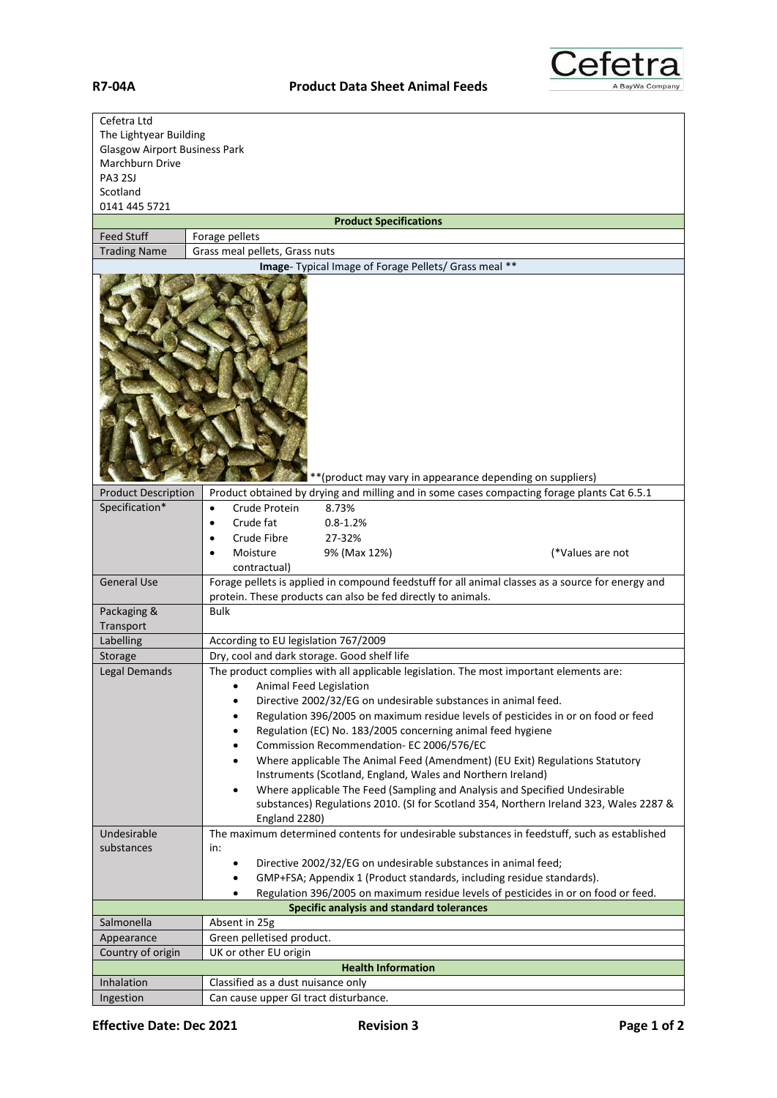

| Cefetra Ltd<br>The Lightyear Building<br><b>Glasgow Airport Business Park</b><br>Marchburn Drive<br><b>PA3 2SJ</b><br>Scotland<br>0141 445 5721 |                                                                                                                                                                          |
|-------------------------------------------------------------------------------------------------------------------------------------------------|--------------------------------------------------------------------------------------------------------------------------------------------------------------------------|
|                                                                                                                                                 | <b>Product Specifications</b>                                                                                                                                            |
| <b>Feed Stuff</b>                                                                                                                               | Forage pellets                                                                                                                                                           |
| <b>Trading Name</b>                                                                                                                             | Grass meal pellets, Grass nuts                                                                                                                                           |
| Image- Typical Image of Forage Pellets/ Grass meal **                                                                                           |                                                                                                                                                                          |
| ** (product may vary in appearance depending on suppliers)                                                                                      |                                                                                                                                                                          |
| <b>Product Description</b>                                                                                                                      | Product obtained by drying and milling and in some cases compacting forage plants Cat 6.5.1                                                                              |
| Specification*                                                                                                                                  | Crude Protein<br>8.73%<br>$\bullet$                                                                                                                                      |
|                                                                                                                                                 | Crude fat<br>$0.8 - 1.2%$<br>$\bullet$                                                                                                                                   |
|                                                                                                                                                 | Crude Fibre<br>27-32%                                                                                                                                                    |
|                                                                                                                                                 | Moisture<br>9% (Max 12%)<br>(*Values are not                                                                                                                             |
| <b>General Use</b>                                                                                                                              | contractual)<br>Forage pellets is applied in compound feedstuff for all animal classes as a source for energy and                                                        |
|                                                                                                                                                 | protein. These products can also be fed directly to animals.                                                                                                             |
| Packaging &<br>Transport                                                                                                                        | <b>Bulk</b>                                                                                                                                                              |
| Labelling                                                                                                                                       | According to EU legislation 767/2009                                                                                                                                     |
| Storage                                                                                                                                         | Dry, cool and dark storage. Good shelf life                                                                                                                              |
| Legal Demands                                                                                                                                   | The product complies with all applicable legislation. The most important elements are:                                                                                   |
|                                                                                                                                                 | Animal Feed Legislation                                                                                                                                                  |
|                                                                                                                                                 | Directive 2002/32/EG on undesirable substances in animal feed.                                                                                                           |
|                                                                                                                                                 | Regulation 396/2005 on maximum residue levels of pesticides in or on food or feed<br>٠                                                                                   |
|                                                                                                                                                 | Regulation (EC) No. 183/2005 concerning animal feed hygiene<br>٠                                                                                                         |
|                                                                                                                                                 | Commission Recommendation- EC 2006/576/EC<br>$\bullet$<br>Where applicable The Animal Feed (Amendment) (EU Exit) Regulations Statutory<br>٠                              |
|                                                                                                                                                 | Instruments (Scotland, England, Wales and Northern Ireland)                                                                                                              |
|                                                                                                                                                 | Where applicable The Feed (Sampling and Analysis and Specified Undesirable<br>$\bullet$                                                                                  |
|                                                                                                                                                 | substances) Regulations 2010. (SI for Scotland 354, Northern Ireland 323, Wales 2287 &                                                                                   |
|                                                                                                                                                 | England 2280)                                                                                                                                                            |
| Undesirable                                                                                                                                     | The maximum determined contents for undesirable substances in feedstuff, such as established                                                                             |
| substances                                                                                                                                      | in:                                                                                                                                                                      |
|                                                                                                                                                 | Directive 2002/32/EG on undesirable substances in animal feed;<br>$\bullet$                                                                                              |
|                                                                                                                                                 | GMP+FSA; Appendix 1 (Product standards, including residue standards).<br>$\bullet$<br>Regulation 396/2005 on maximum residue levels of pesticides in or on food or feed. |
| Specific analysis and standard tolerances                                                                                                       |                                                                                                                                                                          |
| Salmonella                                                                                                                                      | Absent in 25g                                                                                                                                                            |
| Appearance                                                                                                                                      | Green pelletised product.                                                                                                                                                |
| Country of origin                                                                                                                               | UK or other EU origin                                                                                                                                                    |
|                                                                                                                                                 | <b>Health Information</b>                                                                                                                                                |
| Inhalation                                                                                                                                      | Classified as a dust nuisance only                                                                                                                                       |
| Ingestion                                                                                                                                       | Can cause upper GI tract disturbance.                                                                                                                                    |